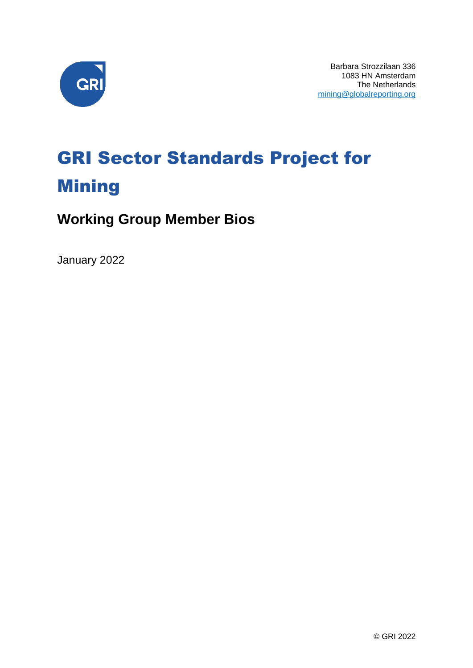

# GRI Sector Standards Project for **Mining**

### **Working Group Member Bios**

January 2022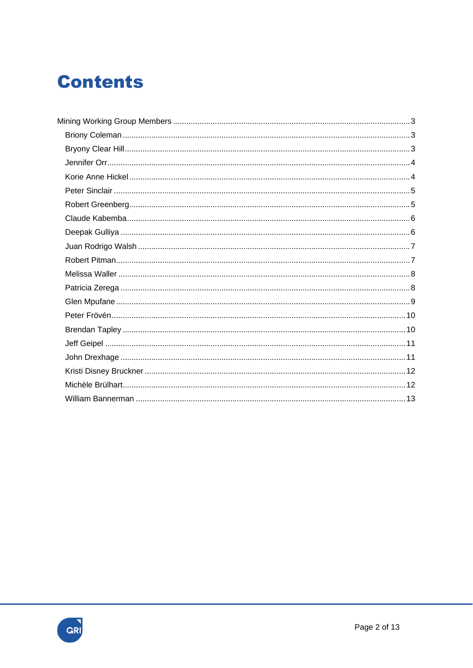# **Contents**

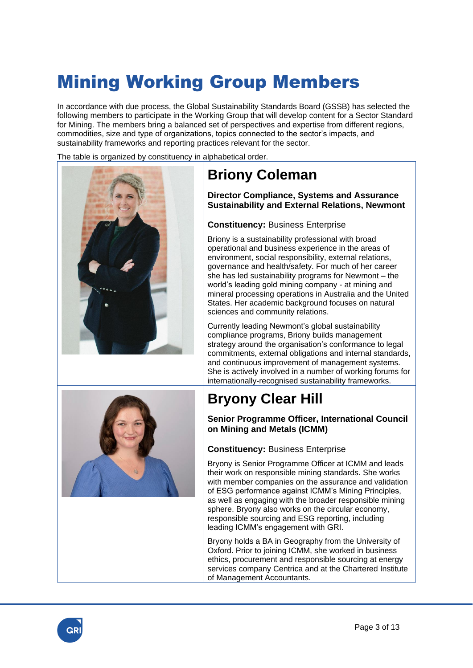# <span id="page-2-0"></span>Mining Working Group Members

In accordance with due process, the Global Sustainability Standards Board (GSSB) has selected the following members to participate in the Working Group that will develop content for a Sector Standard for Mining. The members bring a balanced set of perspectives and expertise from different regions, commodities, size and type of organizations, topics connected to the sector's impacts, and sustainability frameworks and reporting practices relevant for the sector.

The table is organized by constituency in alphabetical order.

<span id="page-2-1"></span>

**Director Compliance, Systems and Assurance Sustainability and External Relations, Newmont**

#### **Constituency:** Business Enterprise

Briony is a sustainability professional with broad operational and business experience in the areas of environment, social responsibility, external relations, governance and health/safety. For much of her career she has led sustainability programs for Newmont – the world's leading gold mining company - at mining and mineral processing operations in Australia and the United States. Her academic background focuses on natural sciences and community relations.

Currently leading Newmont's global sustainability compliance programs, Briony builds management strategy around the organisation's conformance to legal commitments, external obligations and internal standards, and continuous improvement of management systems. She is actively involved in a number of working forums for internationally-recognised sustainability frameworks.

### <span id="page-2-2"></span>**Bryony Clear Hill**

**Senior Programme Officer, International Council on Mining and Metals (ICMM)**

#### **Constituency:** Business Enterprise

Bryony is Senior Programme Officer at ICMM and leads their work on responsible mining standards. She works with member companies on the assurance and validation of ESG performance against ICMM's Mining Principles, as well as engaging with the broader responsible mining sphere. Bryony also works on the circular economy, responsible sourcing and ESG reporting, including leading ICMM's engagement with GRI.

Bryony holds a BA in Geography from the University of Oxford. Prior to joining ICMM, she worked in business ethics, procurement and responsible sourcing at energy services company Centrica and at the Chartered Institute of Management Accountants.

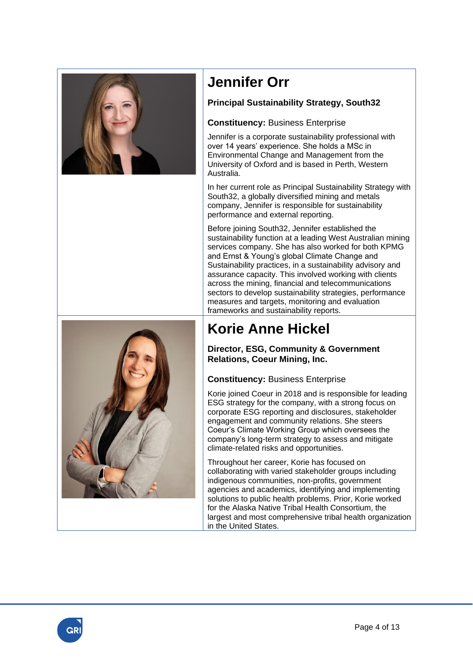

### <span id="page-3-0"></span>**Jennifer Orr**

#### **Principal Sustainability Strategy, South32**

#### **Constituency:** Business Enterprise

Jennifer is a corporate sustainability professional with over 14 years' experience. She holds a MSc in Environmental Change and Management from the University of Oxford and is based in Perth, Western Australia.

In her current role as Principal Sustainability Strategy with South32, a globally diversified mining and metals company, Jennifer is responsible for sustainability performance and external reporting.

Before joining South32, Jennifer established the sustainability function at a leading West Australian mining services company. She has also worked for both KPMG and Ernst & Young's global Climate Change and Sustainability practices, in a sustainability advisory and assurance capacity. This involved working with clients across the mining, financial and telecommunications sectors to develop sustainability strategies, performance measures and targets, monitoring and evaluation frameworks and sustainability reports.

### <span id="page-3-1"></span>**Korie Anne Hickel**

#### **Director, ESG, Community & Government Relations, Coeur Mining, Inc.**

#### **Constituency:** Business Enterprise

Korie joined Coeur in 2018 and is responsible for leading ESG strategy for the company, with a strong focus on corporate ESG reporting and disclosures, stakeholder engagement and community relations. She steers Coeur's Climate Working Group which oversees the company's long-term strategy to assess and mitigate climate-related risks and opportunities.

Throughout her career, Korie has focused on collaborating with varied stakeholder groups including indigenous communities, non-profits, government agencies and academics, identifying and implementing solutions to public health problems. Prior, Korie worked for the Alaska Native Tribal Health Consortium, the largest and most comprehensive tribal health organization in the United States.

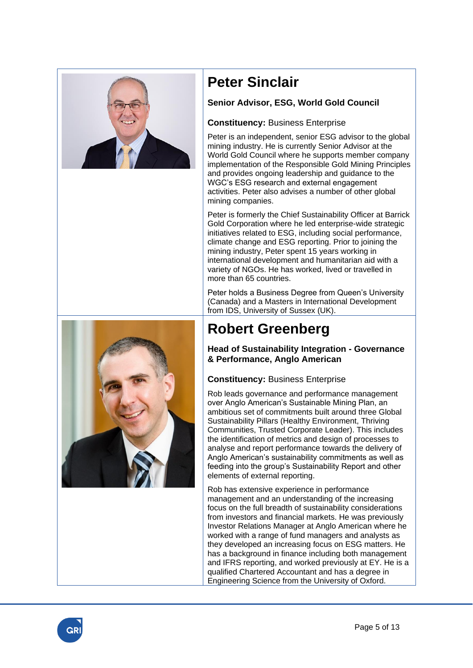



### <span id="page-4-0"></span>**Peter Sinclair**

#### **Senior Advisor, ESG, World Gold Council**

#### **Constituency:** Business Enterprise

Peter is an independent, senior ESG advisor to the global mining industry. He is currently Senior Advisor at the World Gold Council where he supports member company implementation of the Responsible Gold Mining Principles and provides ongoing leadership and guidance to the WGC's ESG research and external engagement activities. Peter also advises a number of other global mining companies.

Peter is formerly the Chief Sustainability Officer at Barrick Gold Corporation where he led enterprise-wide strategic initiatives related to ESG, including social performance, climate change and ESG reporting. Prior to joining the mining industry, Peter spent 15 years working in international development and humanitarian aid with a variety of NGOs. He has worked, lived or travelled in more than 65 countries.

Peter holds a Business Degree from Queen's University (Canada) and a Masters in International Development from IDS, University of Sussex (UK).

### <span id="page-4-1"></span>**Robert Greenberg**

#### **Head of Sustainability Integration - Governance & Performance, Anglo American**

#### **Constituency:** Business Enterprise

Rob leads governance and performance management over Anglo American's Sustainable Mining Plan, an ambitious set of commitments built around three Global Sustainability Pillars (Healthy Environment, Thriving Communities, Trusted Corporate Leader). This includes the identification of metrics and design of processes to analyse and report performance towards the delivery of Anglo American's sustainability commitments as well as feeding into the group's Sustainability Report and other elements of external reporting.

Rob has extensive experience in performance management and an understanding of the increasing focus on the full breadth of sustainability considerations from investors and financial markets. He was previously Investor Relations Manager at Anglo American where he worked with a range of fund managers and analysts as they developed an increasing focus on ESG matters. He has a background in finance including both management and IFRS reporting, and worked previously at EY. He is a qualified Chartered Accountant and has a degree in Engineering Science from the University of Oxford.

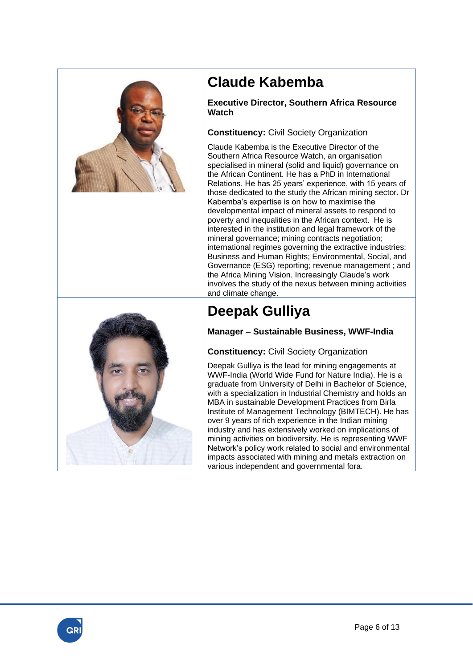

<span id="page-5-0"></span>

#### **Executive Director, Southern Africa Resource Watch**

#### **Constituency:** Civil Society Organization

Claude Kabemba is the Executive Director of the Southern Africa Resource Watch, an organisation specialised in mineral (solid and liquid) governance on the African Continent. He has a PhD in International Relations. He has 25 years' experience, with 15 years of those dedicated to the study the African mining sector. Dr Kabemba's expertise is on how to maximise the developmental impact of mineral assets to respond to poverty and inequalities in the African context. He is interested in the institution and legal framework of the mineral governance; mining contracts negotiation; international regimes governing the extractive industries; Business and Human Rights; Environmental, Social, and Governance (ESG) reporting; revenue management ; and the Africa Mining Vision. Increasingly Claude's work involves the study of the nexus between mining activities and climate change.

## <span id="page-5-1"></span>**Deepak Gulliya**

#### **Manager – Sustainable Business, WWF-India**



Deepak Gulliya is the lead for mining engagements at WWF-India (World Wide Fund for Nature India). He is a graduate from University of Delhi in Bachelor of Science, with a specialization in Industrial Chemistry and holds an MBA in sustainable Development Practices from Birla Institute of Management Technology (BIMTECH). He has over 9 years of rich experience in the Indian mining industry and has extensively worked on implications of mining activities on biodiversity. He is representing WWF Network's policy work related to social and environmental impacts associated with mining and metals extraction on various independent and governmental fora.



![](_page_5_Picture_11.jpeg)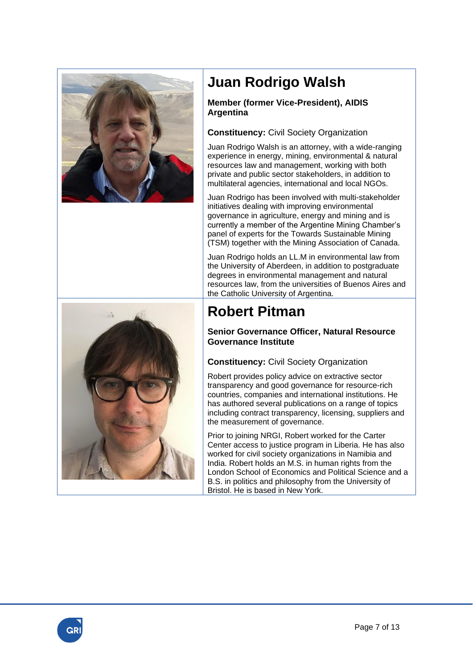![](_page_6_Picture_0.jpeg)

<span id="page-6-0"></span>![](_page_6_Picture_1.jpeg)

#### **Member (former Vice-President), AIDIS Argentina**

#### **Constituency:** Civil Society Organization

Juan Rodrigo Walsh is an attorney, with a wide-ranging experience in energy, mining, environmental & natural resources law and management, working with both private and public sector stakeholders, in addition to multilateral agencies, international and local NGOs.

Juan Rodrigo has been involved with multi-stakeholder initiatives dealing with improving environmental governance in agriculture, energy and mining and is currently a member of the Argentine Mining Chamber's panel of experts for the Towards Sustainable Mining (TSM) together with the Mining Association of Canada.

Juan Rodrigo holds an LL.M in environmental law from the University of Aberdeen, in addition to postgraduate degrees in environmental management and natural resources law, from the universities of Buenos Aires and the Catholic University of Argentina.

### <span id="page-6-1"></span>**Robert Pitman**

#### **Senior Governance Officer, Natural Resource Governance Institute**

#### **Constituency:** Civil Society Organization

Robert provides policy advice on extractive sector transparency and good governance for resource-rich countries, companies and international institutions. He has authored several publications on a range of topics including contract transparency, licensing, suppliers and the measurement of governance.

Prior to joining NRGI, Robert worked for the Carter Center access to justice program in Liberia. He has also worked for civil society organizations in Namibia and India. Robert holds an M.S. in human rights from the London School of Economics and Political Science and a B.S. in politics and philosophy from the University of Bristol. He is based in New York.

![](_page_6_Picture_12.jpeg)

![](_page_6_Picture_13.jpeg)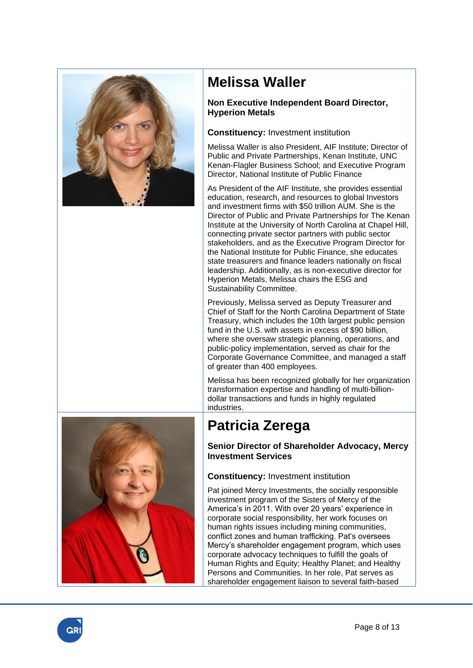![](_page_7_Picture_0.jpeg)

<span id="page-7-0"></span>![](_page_7_Picture_1.jpeg)

#### **Non Executive Independent Board Director, Hyperion Metals**

#### **Constituency:** Investment institution

Melissa Waller is also President, AIF Institute; Director of Public and Private Partnerships, Kenan Institute, UNC Kenan-Flagler Business School; and Executive Program Director, National Institute of Public Finance

As President of the AIF Institute, she provides essential education, research, and resources to global Investors and investment firms with \$50 trillion AUM. She is the Director of Public and Private Partnerships for The Kenan Institute at the University of North Carolina at Chapel Hill, connecting private sector partners with public sector stakeholders, and as the Executive Program Director for the National Institute for Public Finance, she educates state treasurers and finance leaders nationally on fiscal leadership. Additionally, as is non-executive director for Hyperion Metals, Melissa chairs the ESG and Sustainability Committee.

Previously, Melissa served as Deputy Treasurer and Chief of Staff for the North Carolina Department of State Treasury, which includes the 10th largest public pension fund in the U.S. with assets in excess of \$90 billion, where she oversaw strategic planning, operations, and public-policy implementation, served as chair for the Corporate Governance Committee, and managed a staff of greater than 400 employees.

Melissa has been recognized globally for her organization transformation expertise and handling of multi-billiondollar transactions and funds in highly regulated industries.

### <span id="page-7-1"></span>**Patricia Zerega**

#### **Senior Director of Shareholder Advocacy, Mercy Investment Services**

#### **Constituency:** Investment institution

Pat joined Mercy Investments, the socially responsible investment program of the Sisters of Mercy of the America's in 2011. With over 20 years' experience in corporate social responsibility, her work focuses on human rights issues including mining communities, conflict zones and human trafficking. Pat's oversees Mercy's shareholder engagement program, which uses corporate advocacy techniques to fulfill the goals of Human Rights and Equity; Healthy Planet; and Healthy Persons and Communities. In her role, Pat serves as shareholder engagement liaison to several faith-based

![](_page_7_Picture_12.jpeg)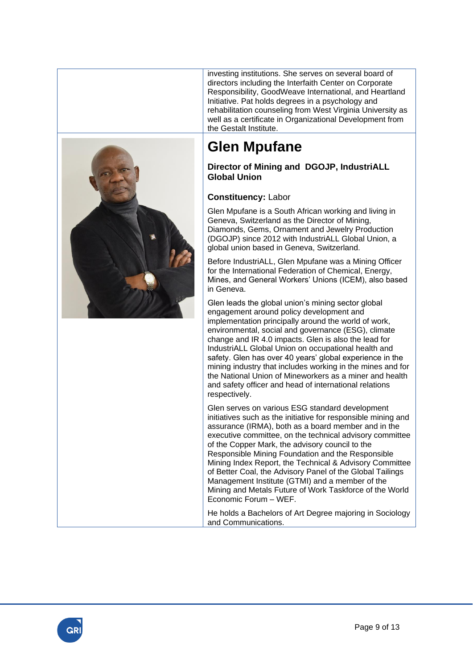![](_page_8_Picture_0.jpeg)

investing institutions. She serves on several board of directors including the Interfaith Center on Corporate Responsibility, GoodWeave International, and Heartland Initiative. Pat holds degrees in a psychology and rehabilitation counseling from West Virginia University as well as a certificate in Organizational Development from the Gestalt Institute.

### <span id="page-8-0"></span>**Glen Mpufane**

#### **Director of Mining and DGOJP, IndustriALL Global Union**

#### **Constituency:** Labor

Glen Mpufane is a South African working and living in Geneva, Switzerland as the Director of Mining, Diamonds, Gems, Ornament and Jewelry Production (DGOJP) since 2012 with IndustriALL Global Union, a global union based in Geneva, Switzerland.

Before IndustriALL, Glen Mpufane was a Mining Officer for the International Federation of Chemical, Energy, Mines, and General Workers' Unions (ICEM), also based in Geneva.

Glen leads the global union's mining sector global engagement around policy development and implementation principally around the world of work, environmental, social and governance (ESG), climate change and IR 4.0 impacts. Glen is also the lead for IndustriALL Global Union on occupational health and safety. Glen has over 40 years' global experience in the mining industry that includes working in the mines and for the National Union of Mineworkers as a miner and health and safety officer and head of international relations respectively.

Glen serves on various ESG standard development initiatives such as the initiative for responsible mining and assurance (IRMA), both as a board member and in the executive committee, on the technical advisory committee of the Copper Mark, the advisory council to the Responsible Mining Foundation and the Responsible Mining Index Report, the Technical & Advisory Committee of Better Coal, the Advisory Panel of the Global Tailings Management Institute (GTMI) and a member of the Mining and Metals Future of Work Taskforce of the World Economic Forum – WEF.

He holds a Bachelors of Art Degree majoring in Sociology and Communications.

![](_page_8_Picture_10.jpeg)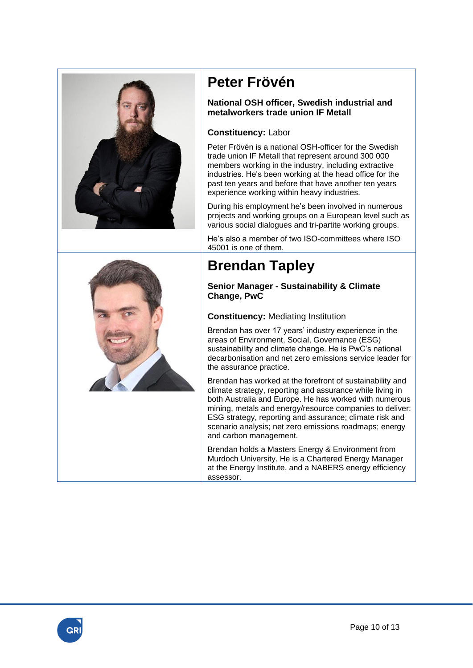![](_page_9_Picture_0.jpeg)

### <span id="page-9-0"></span>**Peter Frövén**

#### **National OSH officer, Swedish industrial and metalworkers trade union IF Metall**

#### **Constituency:** Labor

Peter Frövén is a national OSH-officer for the Swedish trade union IF Metall that represent around 300 000 members working in the industry, including extractive industries. He's been working at the head office for the past ten years and before that have another ten years experience working within heavy industries.

During his employment he's been involved in numerous projects and working groups on a European level such as various social dialogues and tri-partite working groups.

He's also a member of two ISO-committees where ISO 45001 is one of them.

### <span id="page-9-1"></span>**Brendan Tapley Senior Manager - Sustainability & Climate Change, PwC**

#### **Constituency:** Mediating Institution

Brendan has over 17 years' industry experience in the areas of Environment, Social, Governance (ESG) sustainability and climate change. He is PwC's national decarbonisation and net zero emissions service leader for the assurance practice.

Brendan has worked at the forefront of sustainability and climate strategy, reporting and assurance while living in both Australia and Europe. He has worked with numerous mining, metals and energy/resource companies to deliver: ESG strategy, reporting and assurance; climate risk and scenario analysis; net zero emissions roadmaps; energy and carbon management.

Brendan holds a Masters Energy & Environment from Murdoch University. He is a Chartered Energy Manager at the Energy Institute, and a NABERS energy efficiency assessor.

![](_page_9_Picture_13.jpeg)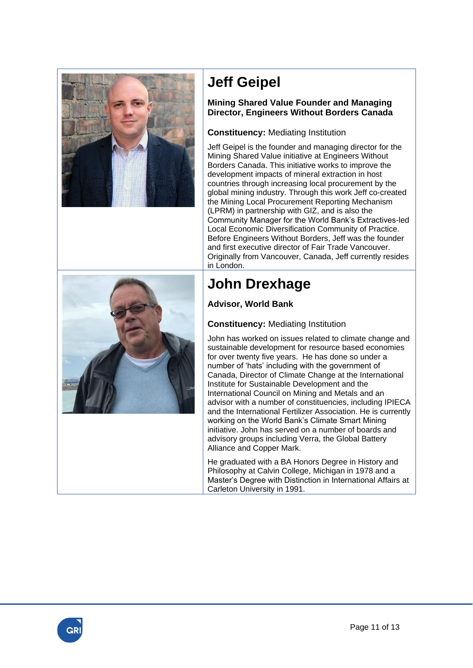![](_page_10_Picture_0.jpeg)

### <span id="page-10-0"></span>**Jeff Geipel**

#### **Mining Shared Value Founder and Managing Director, Engineers Without Borders Canada**

#### **Constituency:** Mediating Institution

Jeff Geipel is the founder and managing director for the Mining Shared Value initiative at Engineers Without Borders Canada. This initiative works to improve the development impacts of mineral extraction in host countries through increasing local procurement by the global mining industry. Through this work Jeff co-created the Mining Local Procurement Reporting Mechanism (LPRM) in partnership with GIZ, and is also the Community Manager for the World Bank's Extractives-led Local Economic Diversification Community of Practice. Before Engineers Without Borders, Jeff was the founder and first executive director of Fair Trade Vancouver. Originally from Vancouver, Canada, Jeff currently resides in London.

<span id="page-10-1"></span>![](_page_10_Picture_5.jpeg)

#### **Advisor, World Bank**

#### **Constituency:** Mediating Institution

John has worked on issues related to climate change and sustainable development for resource based economies for over twenty five years. He has done so under a number of 'hats' including with the government of Canada, Director of Climate Change at the International Institute for Sustainable Development and the International Council on Mining and Metals and an advisor with a number of constituencies, including IPIECA and the International Fertilizer Association. He is currently working on the World Bank's Climate Smart Mining initiative. John has served on a number of boards and advisory groups including Verra, the Global Battery Alliance and Copper Mark.

He graduated with a BA Honors Degree in History and Philosophy at Calvin College, Michigan in 1978 and a Master's Degree with Distinction in International Affairs at Carleton University in 1991.

![](_page_10_Picture_10.jpeg)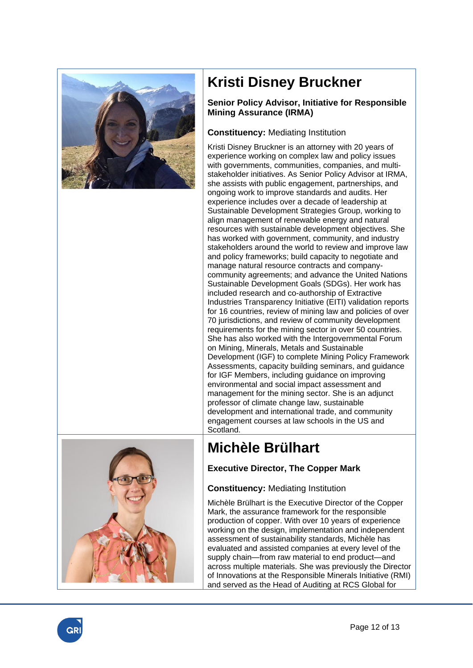![](_page_11_Picture_0.jpeg)

<span id="page-11-0"></span>![](_page_11_Picture_1.jpeg)

#### **Senior Policy Advisor, Initiative for Responsible Mining Assurance (IRMA)**

#### **Constituency:** Mediating Institution

Kristi Disney Bruckner is an attorney with 20 years of experience working on complex law and policy issues with governments, communities, companies, and multistakeholder initiatives. As Senior Policy Advisor at IRMA, she assists with public engagement, partnerships, and ongoing work to improve standards and audits. Her experience includes over a decade of leadership at Sustainable Development Strategies Group, working to align management of renewable energy and natural resources with sustainable development objectives. She has worked with government, community, and industry stakeholders around the world to review and improve law and policy frameworks; build capacity to negotiate and manage natural resource contracts and companycommunity agreements; and advance the United Nations Sustainable Development Goals (SDGs). Her work has included research and co-authorship of Extractive Industries Transparency Initiative (EITI) validation reports for 16 countries, review of mining law and policies of over 70 jurisdictions, and review of community development requirements for the mining sector in over 50 countries. She has also worked with the Intergovernmental Forum on Mining, Minerals, Metals and Sustainable Development (IGF) to complete Mining Policy Framework Assessments, capacity building seminars, and guidance for IGF Members, including guidance on improving environmental and social impact assessment and management for the mining sector. She is an adjunct professor of climate change law, sustainable development and international trade, and community engagement courses at law schools in the US and Scotland.

### <span id="page-11-1"></span>**Michèle Brülhart**

### **Executive Director, The Copper Mark**

#### **Constituency:** Mediating Institution

Michèle Brülhart is the Executive Director of the Copper Mark, the assurance framework for the responsible production of copper. With over 10 years of experience working on the design, implementation and independent assessment of sustainability standards, Michèle has evaluated and assisted companies at every level of the supply chain—from raw material to end product—and across multiple materials. She was previously the Director of Innovations at the Responsible Minerals Initiative (RMI) and served as the Head of Auditing at RCS Global for

![](_page_11_Picture_9.jpeg)

![](_page_11_Picture_10.jpeg)